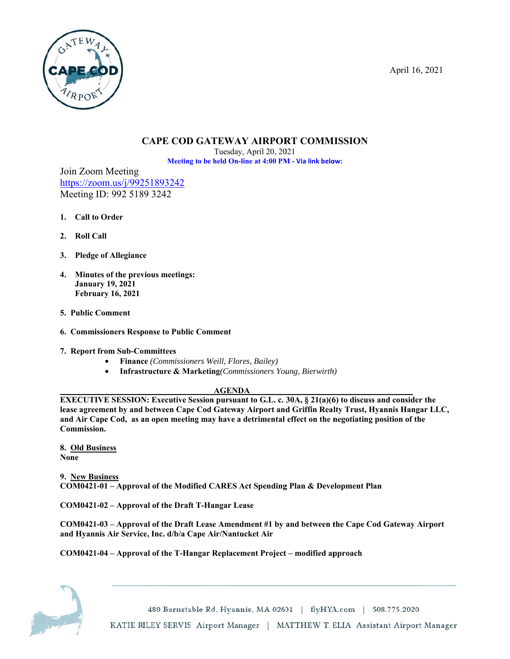April 16, 2021



# **CAPE COD GATEWAY AIRPORT COMMISSION**

Tuesday, April 20, 2021 Meeting to be held On-line at 4:00 PM - Via link below:

Join Zoom Meeting https://zoom.us/j/99251893242 Meeting ID: 992 5189 3242

- 1. Call to Order
- 2. Roll Call
- 3. Pledge of Allegiance
- 4. Minutes of the previous meetings: **January 19, 2021 February 16, 2021**
- 5. Public Comment
- **6. Commissioners Response to Public Comment**
- 7. Report from Sub-Committees
	- Finance (Commissioners Weill, Flores, Bailey)  $\bullet$
	- $\bullet$ **Infrastructure & Marketing** (Commissioners Young, Bierwirth)

**AGENDA** 

**EXECUTIVE SESSION: Executive Session pursuant to G.L. c. 30A, § 21(a)(6) to discuss and consider the** lease agreement by and between Cape Cod Gateway Airport and Griffin Realty Trust, Hyannis Hangar LLC, and Air Cape Cod, as an open meeting may have a detrimental effect on the negotiating position of the Commission.

8. Old Business **None** 

9. New Business COM0421-01 – Approval of the Modified CARES Act Spending Plan & Development Plan

COM0421-02 - Approval of the Draft T-Hangar Lease

COM0421-03 – Approval of the Draft Lease Amendment #1 by and between the Cape Cod Gateway Airport and Hyannis Air Service, Inc. d/b/a Cape Air/Nantucket Air

## COM0421-04 - Approval of the T-Hangar Replacement Project - modified approach



480 Barnstable Rd, Hyannis, MA 02601 | flyHYA.com | 508.775.2020 KATIE RILEY SERVIS Airport Manager | MATTHEW T. ELIA Assistant Airport Manager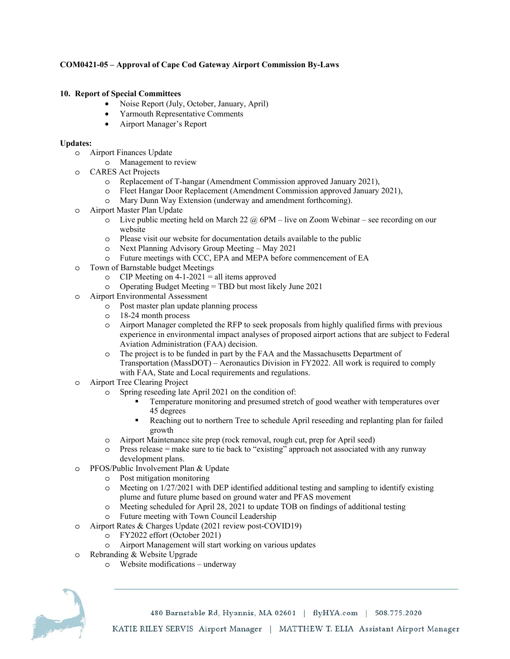### **COM0421-05 – Approval of Cape Cod Gateway Airport Commission By-Laws**

#### **10. Report of Special Committees**

- Noise Report (July, October, January, April)
- Yarmouth Representative Comments
- Airport Manager's Report

#### **Updates:**

- o Airport Finances Update
	- o Management to review
- o CARES Act Projects
	- o Replacement of T-hangar (Amendment Commission approved January 2021),
	- o Fleet Hangar Door Replacement (Amendment Commission approved January 2021),
	- o Mary Dunn Way Extension (underway and amendment forthcoming).
- o Airport Master Plan Update
	- $\circ$  Live public meeting held on March 22  $\omega$  6PM live on Zoom Webinar see recording on our website
	- o Please visit our website for documentation details available to the public
	- o Next Planning Advisory Group Meeting May 2021
	- o Future meetings with CCC, EPA and MEPA before commencement of EA
- o Town of Barnstable budget Meetings
	- $\circ$  CIP Meeting on 4-1-2021 = all items approved
	- o Operating Budget Meeting = TBD but most likely June 2021
- o Airport Environmental Assessment
	- o Post master plan update planning process
	- o 18-24 month process
	- o Airport Manager completed the RFP to seek proposals from highly qualified firms with previous experience in environmental impact analyses of proposed airport actions that are subject to Federal Aviation Administration (FAA) decision.
	- o The project is to be funded in part by the FAA and the Massachusetts Department of Transportation (MassDOT) – Aeronautics Division in FY2022. All work is required to comply with FAA, State and Local requirements and regulations.
- o Airport Tree Clearing Project
	- o Spring reseeding late April 2021 on the condition of:
		- Temperature monitoring and presumed stretch of good weather with temperatures over 45 degrees
		- Reaching out to northern Tree to schedule April reseeding and replanting plan for failed growth
		- o Airport Maintenance site prep (rock removal, rough cut, prep for April seed)
		- $\circ$  Press release = make sure to tie back to "existing" approach not associated with any runway development plans.
- o PFOS/Public Involvement Plan & Update
	- o Post mitigation monitoring
	- o Meeting on 1/27/2021 with DEP identified additional testing and sampling to identify existing plume and future plume based on ground water and PFAS movement
	- o Meeting scheduled for April 28, 2021 to update TOB on findings of additional testing
	- o Future meeting with Town Council Leadership
- o Airport Rates & Charges Update (2021 review post-COVID19)
	- o FY2022 effort (October 2021)
	- o Airport Management will start working on various updates
- o Rebranding & Website Upgrade
	- o Website modifications underway



480 Barnstable Rd, Hyannis, MA 02601 | flyHYA.com | 508.775.2020

KATIE RILEY SERVIS Airport Manager | MATTHEW T. ELIA Assistant Airport Manager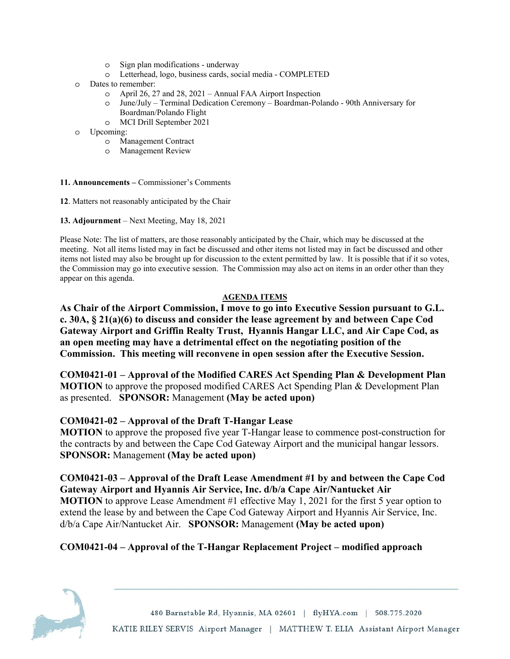- o Sign plan modifications underway
- o Letterhead, logo, business cards, social media COMPLETED
- o Dates to remember:
	- o April 26, 27 and 28, 2021 Annual FAA Airport Inspection
	- o June/July Terminal Dedication Ceremony Boardman-Polando 90th Anniversary for Boardman/Polando Flight
	- o MCI Drill September 2021
- o Upcoming:
	- o Management Contract
	- o Management Review

**11. Announcements –** Commissioner's Comments

**12**. Matters not reasonably anticipated by the Chair

**13. Adjournment** – Next Meeting, May 18, 2021

Please Note: The list of matters, are those reasonably anticipated by the Chair, which may be discussed at the meeting. Not all items listed may in fact be discussed and other items not listed may in fact be discussed and other items not listed may also be brought up for discussion to the extent permitted by law. It is possible that if it so votes, the Commission may go into executive session. The Commission may also act on items in an order other than they appear on this agenda.

### **AGENDA ITEMS**

**As Chair of the Airport Commission, I move to go into Executive Session pursuant to G.L. c. 30A, § 21(a)(6) to discuss and consider the lease agreement by and between Cape Cod Gateway Airport and Griffin Realty Trust, Hyannis Hangar LLC, and Air Cape Cod, as an open meeting may have a detrimental effect on the negotiating position of the Commission. This meeting will reconvene in open session after the Executive Session.** 

**COM0421-01 – Approval of the Modified CARES Act Spending Plan & Development Plan MOTION** to approve the proposed modified CARES Act Spending Plan & Development Plan as presented. **SPONSOR:** Management **(May be acted upon)** 

## **COM0421-02 – Approval of the Draft T-Hangar Lease**

**MOTION** to approve the proposed five year T-Hangar lease to commence post-construction for the contracts by and between the Cape Cod Gateway Airport and the municipal hangar lessors. **SPONSOR:** Management **(May be acted upon)** 

## **COM0421-03 – Approval of the Draft Lease Amendment #1 by and between the Cape Cod Gateway Airport and Hyannis Air Service, Inc. d/b/a Cape Air/Nantucket Air MOTION** to approve Lease Amendment #1 effective May 1, 2021 for the first 5 year option to extend the lease by and between the Cape Cod Gateway Airport and Hyannis Air Service, Inc. d/b/a Cape Air/Nantucket Air. **SPONSOR:** Management **(May be acted upon)**

# **COM0421-04 – Approval of the T-Hangar Replacement Project – modified approach**



480 Barnstable Rd, Hyannis, MA 02601 | flyHYA.com | 508.775.2020 KATIE RILEY SERVIS Airport Manager | MATTHEW T. ELIA Assistant Airport Manager